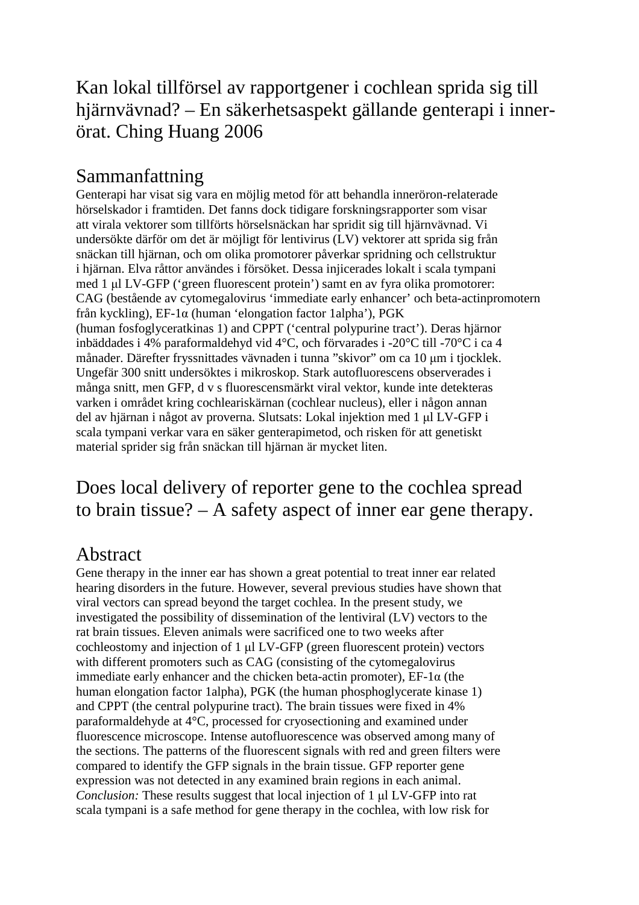## Kan lokal tillförsel av rapportgener i cochlean sprida sig till hjärnvävnad? – En säkerhetsaspekt gällande genterapi i innerörat. Ching Huang 2006

## Sammanfattning

Genterapi har visat sig vara en möjlig metod för att behandla inneröron-relaterade hörselskador i framtiden. Det fanns dock tidigare forskningsrapporter som visar att virala vektorer som tillförts hörselsnäckan har spridit sig till hjärnvävnad. Vi undersökte därför om det är möjligt för lentivirus (LV) vektorer att sprida sig från snäckan till hjärnan, och om olika promotorer påverkar spridning och cellstruktur i hjärnan. Elva råttor användes i försöket. Dessa injicerades lokalt i scala tympani med 1 µl LV-GFP ('green fluorescent protein') samt en av fyra olika promotorer: CAG (bestående av cytomegalovirus 'immediate early enhancer' och beta-actinpromotern från kyckling), EF-1α (human 'elongation factor 1alpha'), PGK (human fosfoglyceratkinas 1) and CPPT ('central polypurine tract'). Deras hjärnor inbäddades i 4% paraformaldehyd vid 4°C, och förvarades i -20°C till -70°C i ca 4 månader. Därefter fryssnittades vävnaden i tunna "skivor" om ca 10 µm i tjocklek. Ungefär 300 snitt undersöktes i mikroskop. Stark autofluorescens observerades i många snitt, men GFP, d v s fluorescensmärkt viral vektor, kunde inte detekteras varken i området kring cochleariskärnan (cochlear nucleus), eller i någon annan del av hjärnan i något av proverna. Slutsats: Lokal injektion med 1 µl LV-GFP i scala tympani verkar vara en säker genterapimetod, och risken för att genetiskt material sprider sig från snäckan till hjärnan är mycket liten.

## Does local delivery of reporter gene to the cochlea spread to brain tissue? – A safety aspect of inner ear gene therapy.

## Abstract

Gene therapy in the inner ear has shown a great potential to treat inner ear related hearing disorders in the future. However, several previous studies have shown that viral vectors can spread beyond the target cochlea. In the present study, we investigated the possibility of dissemination of the lentiviral (LV) vectors to the rat brain tissues. Eleven animals were sacrificed one to two weeks after cochleostomy and injection of 1 µl LV-GFP (green fluorescent protein) vectors with different promoters such as CAG (consisting of the cytomegalovirus immediate early enhancer and the chicken beta-actin promoter),  $E_{\text{F-1}\alpha}$  (the human elongation factor 1alpha), PGK (the human phosphoglycerate kinase 1) and CPPT (the central polypurine tract). The brain tissues were fixed in 4% paraformaldehyde at 4°C, processed for cryosectioning and examined under fluorescence microscope. Intense autofluorescence was observed among many of the sections. The patterns of the fluorescent signals with red and green filters were compared to identify the GFP signals in the brain tissue. GFP reporter gene expression was not detected in any examined brain regions in each animal. *Conclusion:* These results suggest that local injection of 1 µl LV-GFP into rat scala tympani is a safe method for gene therapy in the cochlea, with low risk for